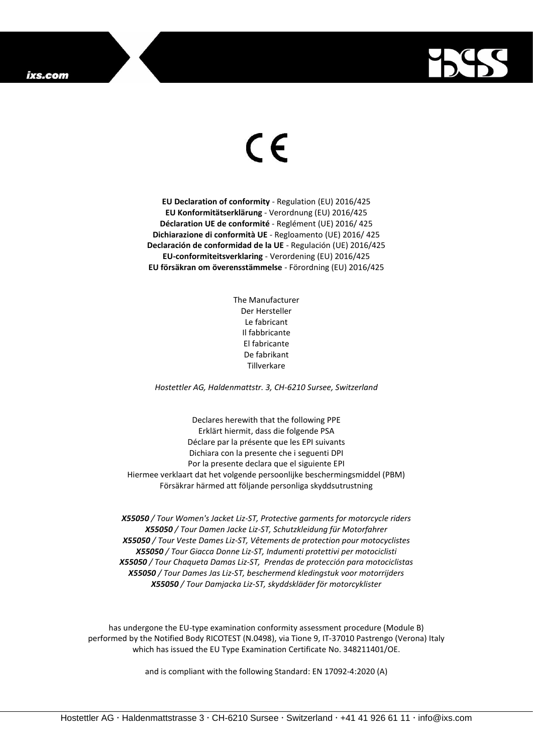## ixs.com



## $\epsilon$

**EU Declaration of conformity** - Regulation (EU) 2016/425 **EU Konformitätserklärung** - Verordnung (EU) 2016/425 **Déclaration UE de conformité** - Reglément (UE) 2016/ 425 **Dichiarazione di conformità UE** - Regloamento (UE) 2016/ 425 **Declaración de conformidad de la UE** - Regulación (UE) 2016/425 **EU-conformiteitsverklaring** - Verordening (EU) 2016/425 **EU försäkran om överensstämmelse** - Förordning (EU) 2016/425

> The Manufacturer Der Hersteller Le fabricant Il fabbricante El fabricante De fabrikant Tillverkare

*Hostettler AG, Haldenmattstr. 3, CH-6210 Sursee, Switzerland*

Declares herewith that the following PPE Erklärt hiermit, dass die folgende PSA Déclare par la présente que les EPI suivants Dichiara con la presente che i seguenti DPI Por la presente declara que el siguiente EPI Hiermee verklaart dat het volgende persoonlijke beschermingsmiddel (PBM) Försäkrar härmed att följande personliga skyddsutrustning

*X55050 / Tour Women's Jacket Liz-ST, Protective garments for motorcycle riders X55050 / Tour Damen Jacke Liz-ST, Schutzkleidung für Motorfahrer X55050 / Tour Veste Dames Liz-ST, Vêtements de protection pour motocyclistes X55050 / Tour Giacca Donne Liz-ST, Indumenti protettivi per motociclisti X55050 / Tour Chaqueta Damas Liz-ST, Prendas de protección para motociclistas X55050 / Tour Dames Jas Liz-ST, beschermend kledingstuk voor motorrijders X55050 / Tour Damjacka Liz-ST, skyddskläder för motorcyklister*

has undergone the EU-type examination conformity assessment procedure (Module B) performed by the Notified Body RICOTEST (N.0498), via Tione 9, IT-37010 Pastrengo (Verona) Italy which has issued the EU Type Examination Certificate No. 348211401/OE.

and is compliant with the following Standard: EN 17092-4:2020 (A)